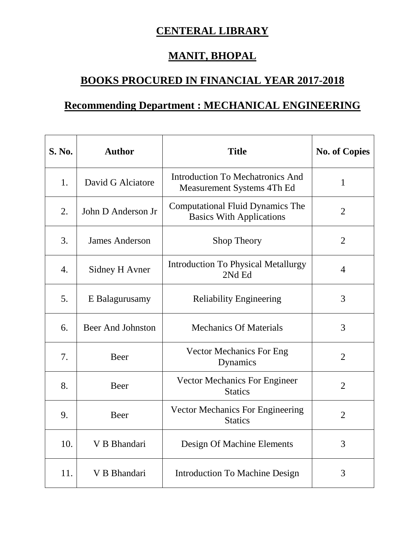## **CENTERAL LIBRARY**

## **MANIT, BHOPAL**

## **BOOKS PROCURED IN FINANCIAL YEAR 2017-2018**

## **Recommending Department : MECHANICAL ENGINEERING**

| S. No. | <b>Author</b>            | <b>Title</b>                                                               | <b>No. of Copies</b> |
|--------|--------------------------|----------------------------------------------------------------------------|----------------------|
| 1.     | David G Alciatore        | <b>Introduction To Mechatronics And</b><br>Measurement Systems 4Th Ed      | $\mathbf{1}$         |
| 2.     | John D Anderson Jr       | <b>Computational Fluid Dynamics The</b><br><b>Basics With Applications</b> | $\overline{2}$       |
| 3.     | <b>James Anderson</b>    | Shop Theory                                                                | $\overline{2}$       |
| 4.     | Sidney H Avner           | <b>Introduction To Physical Metallurgy</b><br>2Nd Ed                       | $\overline{4}$       |
| 5.     | E Balagurusamy           | <b>Reliability Engineering</b>                                             | 3                    |
| 6.     | <b>Beer And Johnston</b> | <b>Mechanics Of Materials</b>                                              | 3                    |
| 7.     | Beer                     | <b>Vector Mechanics For Eng</b><br>Dynamics                                | $\overline{2}$       |
| 8.     | Beer                     | <b>Vector Mechanics For Engineer</b><br><b>Statics</b>                     | $\overline{2}$       |
| 9.     | Beer                     | <b>Vector Mechanics For Engineering</b><br><b>Statics</b>                  | $\overline{2}$       |
| 10.    | V B Bhandari             | Design Of Machine Elements                                                 | 3                    |
| 11.    | V B Bhandari             | <b>Introduction To Machine Design</b>                                      | 3                    |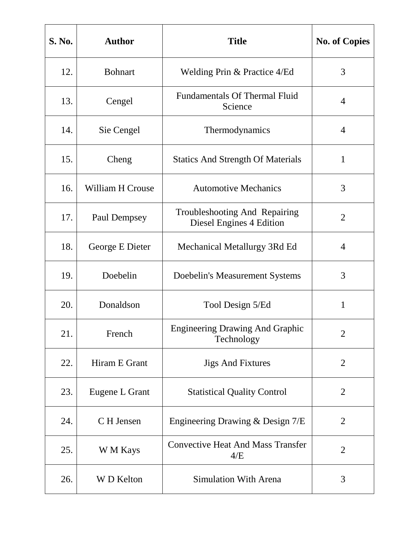| <b>S. No.</b> | <b>Author</b>           | <b>Title</b>                                              | <b>No. of Copies</b> |
|---------------|-------------------------|-----------------------------------------------------------|----------------------|
| 12.           | <b>Bohnart</b>          | Welding Prin & Practice 4/Ed                              | 3                    |
| 13.           | Cengel                  | <b>Fundamentals Of Thermal Fluid</b><br>Science           | $\overline{4}$       |
| 14.           | Sie Cengel              | Thermodynamics                                            | $\overline{4}$       |
| 15.           | Cheng                   | <b>Statics And Strength Of Materials</b>                  | $\mathbf{1}$         |
| 16.           | <b>William H Crouse</b> | <b>Automotive Mechanics</b>                               | 3                    |
| 17.           | Paul Dempsey            | Troubleshooting And Repairing<br>Diesel Engines 4 Edition | 2                    |
| 18.           | George E Dieter         | Mechanical Metallurgy 3Rd Ed                              | $\overline{4}$       |
| 19.           | Doebelin                | Doebelin's Measurement Systems                            | 3                    |
| 20.           | Donaldson               | Tool Design 5/Ed                                          | $\mathbf{1}$         |
| 21.           | French                  | <b>Engineering Drawing And Graphic</b><br>Technology      | $\overline{2}$       |
| 22.           | Hiram E Grant           | <b>Jigs And Fixtures</b>                                  | $\overline{2}$       |
| 23.           | Eugene L Grant          | <b>Statistical Quality Control</b>                        | $\overline{2}$       |
| 24.           | C H Jensen              | Engineering Drawing & Design 7/E                          | 2                    |
| 25.           | W M Kays                | <b>Convective Heat And Mass Transfer</b><br>4/E           | $\overline{2}$       |
| 26.           | <b>WD</b> Kelton        | <b>Simulation With Arena</b>                              | 3                    |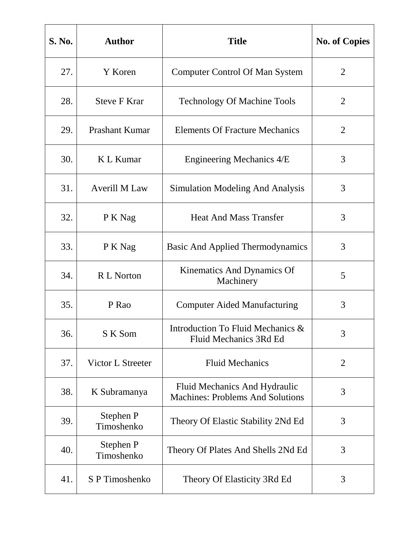| <b>S. No.</b> | <b>Author</b>           | <b>Title</b>                                                             | <b>No. of Copies</b> |
|---------------|-------------------------|--------------------------------------------------------------------------|----------------------|
| 27.           | Y Koren                 | <b>Computer Control Of Man System</b>                                    | 2                    |
| 28.           | <b>Steve F Krar</b>     | <b>Technology Of Machine Tools</b>                                       | 2                    |
| 29.           | Prashant Kumar          | <b>Elements Of Fracture Mechanics</b>                                    | $\overline{2}$       |
| 30.           | K L Kumar               | Engineering Mechanics 4/E                                                | 3                    |
| 31.           | <b>Averill M Law</b>    | <b>Simulation Modeling And Analysis</b>                                  | 3                    |
| 32.           | P K Nag                 | <b>Heat And Mass Transfer</b>                                            | 3                    |
| 33.           | P K Nag                 | <b>Basic And Applied Thermodynamics</b>                                  | 3                    |
| 34.           | R L Norton              | Kinematics And Dynamics Of<br>Machinery                                  | 5                    |
| 35.           | P Rao                   | <b>Computer Aided Manufacturing</b>                                      | 3                    |
| 36.           | S K Som                 | Introduction To Fluid Mechanics &<br>Fluid Mechanics 3Rd Ed              | 3                    |
| 37.           | Victor L Streeter       | <b>Fluid Mechanics</b>                                                   | $\overline{2}$       |
| 38.           | K Subramanya            | Fluid Mechanics And Hydraulic<br><b>Machines: Problems And Solutions</b> | 3                    |
| 39.           | Stephen P<br>Timoshenko | Theory Of Elastic Stability 2Nd Ed                                       | 3                    |
| 40.           | Stephen P<br>Timoshenko | Theory Of Plates And Shells 2Nd Ed                                       | 3                    |
| 41.           | S P Timoshenko          | Theory Of Elasticity 3Rd Ed                                              | 3                    |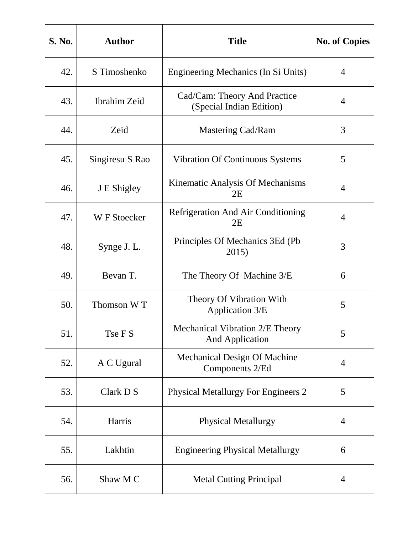| S. No. | <b>Author</b>   | <b>Title</b>                                              | <b>No. of Copies</b> |
|--------|-----------------|-----------------------------------------------------------|----------------------|
| 42.    | S Timoshenko    | Engineering Mechanics (In Si Units)                       | $\overline{4}$       |
| 43.    | Ibrahim Zeid    | Cad/Cam: Theory And Practice<br>(Special Indian Edition)  | $\overline{4}$       |
| 44.    | Zeid            | Mastering Cad/Ram                                         | 3                    |
| 45.    | Singiresu S Rao | <b>Vibration Of Continuous Systems</b>                    | 5                    |
| 46.    | J E Shigley     | Kinematic Analysis Of Mechanisms<br>2E                    | $\overline{4}$       |
| 47.    | W F Stoecker    | <b>Refrigeration And Air Conditioning</b><br>2E           | $\overline{4}$       |
| 48.    | Synge J. L.     | Principles Of Mechanics 3Ed (Pb)<br>2015)                 | 3                    |
| 49.    | Bevan T.        | The Theory Of Machine 3/E                                 | 6                    |
| 50.    | Thomson WT      | Theory Of Vibration With<br>Application 3/E               | 5                    |
| 51.    | Tse F S         | Mechanical Vibration 2/E Theory<br><b>And Application</b> | 5                    |
| 52.    | A C Ugural      | Mechanical Design Of Machine<br>Components 2/Ed           | $\overline{4}$       |
| 53.    | Clark D S       | <b>Physical Metallurgy For Engineers 2</b>                | 5                    |
| 54.    | Harris          | <b>Physical Metallurgy</b>                                | $\overline{4}$       |
| 55.    | Lakhtin         | <b>Engineering Physical Metallurgy</b>                    | 6                    |
| 56.    | Shaw M C        | <b>Metal Cutting Principal</b>                            | $\overline{4}$       |